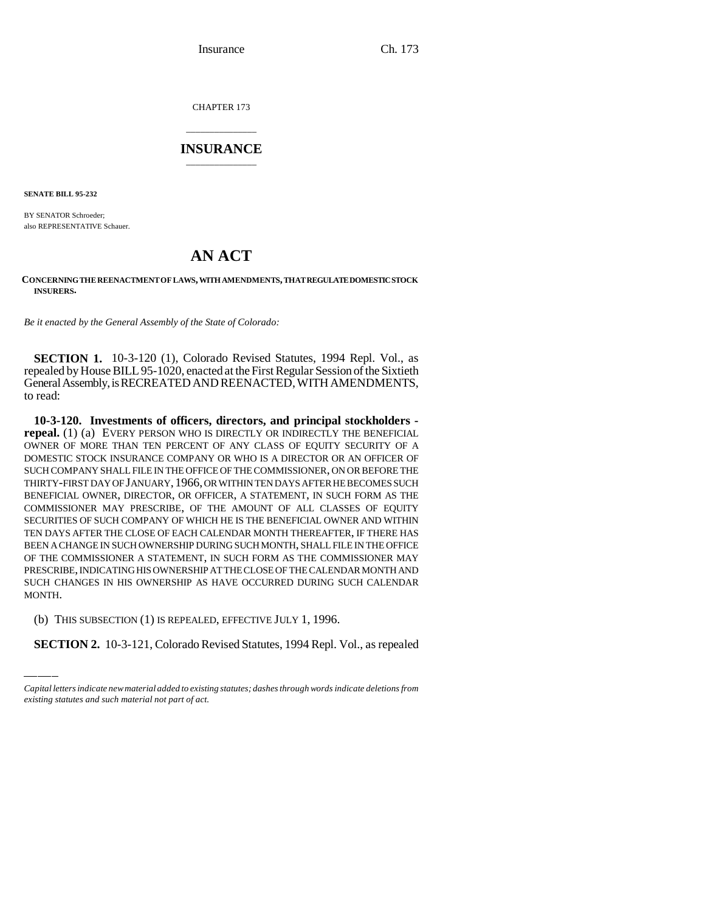Insurance Ch. 173

CHAPTER 173

## \_\_\_\_\_\_\_\_\_\_\_\_\_\_\_ **INSURANCE** \_\_\_\_\_\_\_\_\_\_\_\_\_\_\_

**SENATE BILL 95-232**

BY SENATOR Schroeder; also REPRESENTATIVE Schauer.

## **AN ACT**

## **CONCERNING THE REENACTMENT OF LAWS, WITH AMENDMENTS, THAT REGULATE DOMESTIC STOCK INSURERS.**

*Be it enacted by the General Assembly of the State of Colorado:*

**SECTION 1.** 10-3-120 (1), Colorado Revised Statutes, 1994 Repl. Vol., as repealed by House BILL 95-1020, enacted at the First Regular Session of the Sixtieth General Assembly, is RECREATED AND REENACTED, WITH AMENDMENTS, to read:

MONTH. **10-3-120. Investments of officers, directors, and principal stockholders repeal.** (1) (a) EVERY PERSON WHO IS DIRECTLY OR INDIRECTLY THE BENEFICIAL OWNER OF MORE THAN TEN PERCENT OF ANY CLASS OF EQUITY SECURITY OF A DOMESTIC STOCK INSURANCE COMPANY OR WHO IS A DIRECTOR OR AN OFFICER OF SUCH COMPANY SHALL FILE IN THE OFFICE OF THE COMMISSIONER, ON OR BEFORE THE THIRTY-FIRST DAY OF JANUARY,1966, OR WITHIN TEN DAYS AFTER HE BECOMES SUCH BENEFICIAL OWNER, DIRECTOR, OR OFFICER, A STATEMENT, IN SUCH FORM AS THE COMMISSIONER MAY PRESCRIBE, OF THE AMOUNT OF ALL CLASSES OF EQUITY SECURITIES OF SUCH COMPANY OF WHICH HE IS THE BENEFICIAL OWNER AND WITHIN TEN DAYS AFTER THE CLOSE OF EACH CALENDAR MONTH THEREAFTER, IF THERE HAS BEEN A CHANGE IN SUCH OWNERSHIP DURING SUCH MONTH, SHALL FILE IN THE OFFICE OF THE COMMISSIONER A STATEMENT, IN SUCH FORM AS THE COMMISSIONER MAY PRESCRIBE, INDICATING HIS OWNERSHIP AT THE CLOSE OF THE CALENDAR MONTH AND SUCH CHANGES IN HIS OWNERSHIP AS HAVE OCCURRED DURING SUCH CALENDAR

(b) THIS SUBSECTION (1) IS REPEALED, EFFECTIVE JULY 1, 1996.

**SECTION 2.** 10-3-121, Colorado Revised Statutes, 1994 Repl. Vol., as repealed

*Capital letters indicate new material added to existing statutes; dashes through words indicate deletions from existing statutes and such material not part of act.*